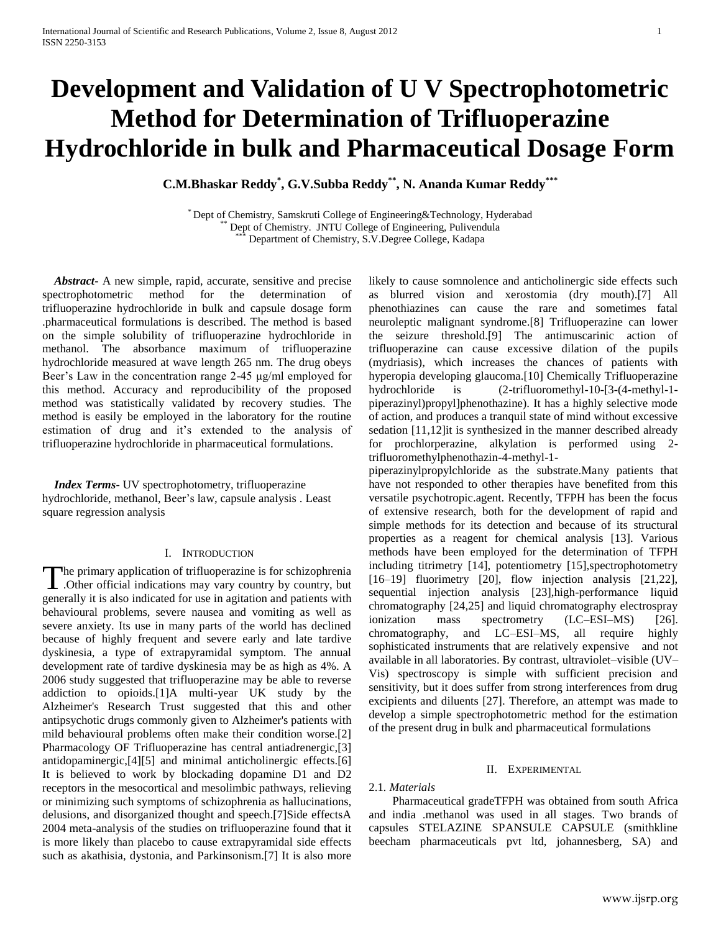# **Development and Validation of U V Spectrophotometric Method for Determination of Trifluoperazine Hydrochloride in bulk and Pharmaceutical Dosage Form**

**C.M.Bhaskar Reddy\* , G.V.Subba Reddy\*\*, N. Ananda Kumar Reddy\*\*\***

\* Dept of Chemistry, Samskruti College of Engineering&Technology, Hyderabad Dept of Chemistry. JNTU College of Engineering, Pulivendula Department of Chemistry, S.V.Degree College, Kadapa

 *Abstract***-** A new simple, rapid, accurate, sensitive and precise spectrophotometric method for the determination of trifluoperazine hydrochloride in bulk and capsule dosage form .pharmaceutical formulations is described. The method is based on the simple solubility of trifluoperazine hydrochloride in methanol. The absorbance maximum of trifluoperazine hydrochloride measured at wave length 265 nm. The drug obeys Beer's Law in the concentration range 2-45 μg/ml employed for this method. Accuracy and reproducibility of the proposed method was statistically validated by recovery studies. The method is easily be employed in the laboratory for the routine estimation of drug and it's extended to the analysis of trifluoperazine hydrochloride in pharmaceutical formulations.

 *Index Terms*- UV spectrophotometry, trifluoperazine hydrochloride, methanol, Beer's law, capsule analysis . Least square regression analysis

#### I. INTRODUCTION

he primary application of trifluoperazine is for schizophrenia .Other official indications may vary country by country, but The primary application of trifluoperazine is for schizophrenia<br>
.Other official indications may vary country by country, but<br>
generally it is also indicated for use in agitation and patients with behavioural problems, severe nausea and vomiting as well as severe anxiety. Its use in many parts of the world has declined because of highly frequent and severe early and late tardive dyskinesia, a type of extrapyramidal symptom. The annual development rate of tardive dyskinesia may be as high as 4%. A 2006 study suggested that trifluoperazine may be able to reverse addiction to opioids.[1]A multi-year UK study by the Alzheimer's Research Trust suggested that this and other antipsychotic drugs commonly given to Alzheimer's patients with mild behavioural problems often make their condition worse.[2] Pharmacology OF Trifluoperazine has central antiadrenergic,[3] antidopaminergic,[4][5] and minimal anticholinergic effects.[6] It is believed to work by blockading dopamine D1 and D2 receptors in the mesocortical and mesolimbic pathways, relieving or minimizing such symptoms of schizophrenia as hallucinations, delusions, and disorganized thought and speech.[7]Side effectsA 2004 meta-analysis of the studies on trifluoperazine found that it is more likely than placebo to cause extrapyramidal side effects such as akathisia, dystonia, and Parkinsonism.[7] It is also more

likely to cause somnolence and anticholinergic side effects such as blurred vision and xerostomia (dry mouth).[7] All phenothiazines can cause the rare and sometimes fatal neuroleptic malignant syndrome.[8] Trifluoperazine can lower the seizure threshold.[9] The antimuscarinic action of trifluoperazine can cause excessive dilation of the pupils (mydriasis), which increases the chances of patients with hyperopia developing glaucoma.[10] Chemically Trifluoperazine hydrochloride is (2-trifluoromethyl-10-[3-(4-methyl-1 piperazinyl)propyl]phenothazine). It has a highly selective mode of action, and produces a tranquil state of mind without excessive sedation [11,12]it is synthesized in the manner described already for prochlorperazine, alkylation is performed using 2 trifluoromethylphenothazin-4-methyl-1-

piperazinylpropylchloride as the substrate.Many patients that have not responded to other therapies have benefited from this versatile psychotropic.agent. Recently, TFPH has been the focus of extensive research, both for the development of rapid and simple methods for its detection and because of its structural properties as a reagent for chemical analysis [13]. Various methods have been employed for the determination of TFPH including titrimetry [14], potentiometry [15],spectrophotometry [16–19] fluorimetry [20], flow injection analysis [21,22], sequential injection analysis [23],high-performance liquid chromatography [24,25] and liquid chromatography electrospray ionization mass spectrometry (LC–ESI–MS) [26]. chromatography, and LC–ESI–MS, all require highly sophisticated instruments that are relatively expensive and not available in all laboratories. By contrast, ultraviolet–visible (UV– Vis) spectroscopy is simple with sufficient precision and sensitivity, but it does suffer from strong interferences from drug excipients and diluents [27]. Therefore, an attempt was made to develop a simple spectrophotometric method for the estimation of the present drug in bulk and pharmaceutical formulations

#### II. EXPERIMENTAL

## 2.1*. Materials*

 Pharmaceutical gradeTFPH was obtained from south Africa and india .methanol was used in all stages. Two brands of capsules STELAZINE SPANSULE CAPSULE (smithkline beecham pharmaceuticals pvt ltd, johannesberg, SA) and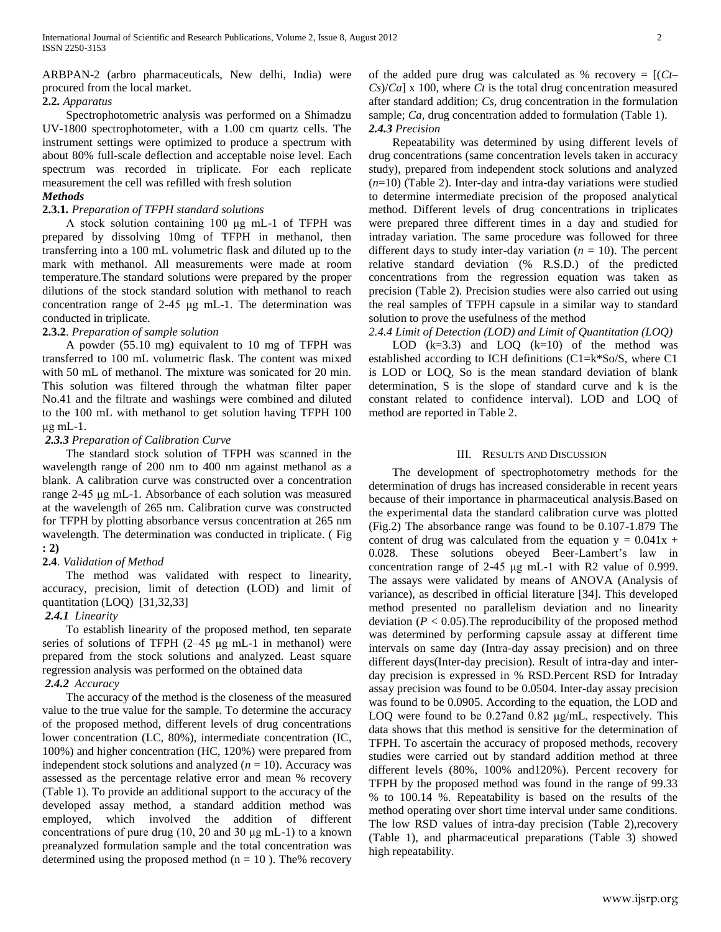ARBPAN-2 (arbro pharmaceuticals, New delhi, India) were procured from the local market.

## **2.2***. Apparatus*

 Spectrophotometric analysis was performed on a Shimadzu UV-1800 spectrophotometer, with a 1.00 cm quartz cells. The instrument settings were optimized to produce a spectrum with about 80% full-scale deflection and acceptable noise level. Each spectrum was recorded in triplicate. For each replicate measurement the cell was refilled with fresh solution *Methods*

## **2.3.1***. Preparation of TFPH standard solutions*

 A stock solution containing 100 μg mL-1 of TFPH was prepared by dissolving 10mg of TFPH in methanol, then transferring into a 100 mL volumetric flask and diluted up to the mark with methanol. All measurements were made at room temperature.The standard solutions were prepared by the proper dilutions of the stock standard solution with methanol to reach concentration range of 2-45 μg mL-1. The determination was conducted in triplicate.

## **2.3.2***. Preparation of sample solution*

 A powder (55.10 mg) equivalent to 10 mg of TFPH was transferred to 100 mL volumetric flask. The content was mixed with 50 mL of methanol. The mixture was sonicated for 20 min. This solution was filtered through the whatman filter paper No.41 and the filtrate and washings were combined and diluted to the 100 mL with methanol to get solution having TFPH 100 μg mL-1.

## *2.3.3 Preparation of Calibration Curve*

 The standard stock solution of TFPH was scanned in the wavelength range of 200 nm to 400 nm against methanol as a blank. A calibration curve was constructed over a concentration range 2-45 μg mL-1. Absorbance of each solution was measured at the wavelength of 265 nm. Calibration curve was constructed for TFPH by plotting absorbance versus concentration at 265 nm wavelength. The determination was conducted in triplicate. ( Fig **: 2)**

# **2.4***. Validation of Method*

 The method was validated with respect to linearity, accuracy, precision, limit of detection (LOD) and limit of quantitation (LOQ) [31,32,33]

# *2.4.1 Linearity*

 To establish linearity of the proposed method, ten separate series of solutions of TFPH (2–45 μg mL-1 in methanol) were prepared from the stock solutions and analyzed. Least square regression analysis was performed on the obtained data

# *2.4.2 Accuracy*

 The accuracy of the method is the closeness of the measured value to the true value for the sample. To determine the accuracy of the proposed method, different levels of drug concentrations lower concentration (LC, 80%), intermediate concentration (IC, 100%) and higher concentration (HC, 120%) were prepared from independent stock solutions and analyzed  $(n = 10)$ . Accuracy was assessed as the percentage relative error and mean % recovery (Table 1). To provide an additional support to the accuracy of the developed assay method, a standard addition method was employed, which involved the addition of different concentrations of pure drug (10, 20 and 30 μg mL-1) to a known preanalyzed formulation sample and the total concentration was determined using the proposed method ( $n = 10$ ). The% recovery

of the added pure drug was calculated as % recovery  $= [(Ct-$ *Cs*)/*Ca*] x 100, where *Ct* is the total drug concentration measured after standard addition; *Cs,* drug concentration in the formulation sample; *Ca*, drug concentration added to formulation (Table 1). *2.4.3 Precision*

 Repeatability was determined by using different levels of drug concentrations (same concentration levels taken in accuracy study), prepared from independent stock solutions and analyzed (*n*=10) (Table 2). Inter-day and intra-day variations were studied to determine intermediate precision of the proposed analytical method. Different levels of drug concentrations in triplicates were prepared three different times in a day and studied for intraday variation. The same procedure was followed for three different days to study inter-day variation  $(n = 10)$ . The percent relative standard deviation (% R.S.D.) of the predicted concentrations from the regression equation was taken as precision (Table 2). Precision studies were also carried out using the real samples of TFPH capsule in a similar way to standard solution to prove the usefulness of the method

*2.4.4 Limit of Detection (LOD) and Limit of Quantitation (LOQ)* LOD  $(k=3.3)$  and LOQ  $(k=10)$  of the method was established according to ICH definitions (C1=k\*So/S, where C1 is LOD or LOQ, So is the mean standard deviation of blank determination, S is the slope of standard curve and k is the constant related to confidence interval). LOD and LOQ of method are reported in Table 2.

## III. RESULTS AND DISCUSSION

 The development of spectrophotometry methods for the determination of drugs has increased considerable in recent years because of their importance in pharmaceutical analysis.Based on the experimental data the standard calibration curve was plotted (Fig.2) The absorbance range was found to be 0.107-1.879 The content of drug was calculated from the equation  $y = 0.041x +$ 0.028. These solutions obeyed Beer-Lambert's law in concentration range of 2-45 μg mL-1 with R2 value of 0.999. The assays were validated by means of ANOVA (Analysis of variance), as described in official literature [34]. This developed method presented no parallelism deviation and no linearity deviation  $(P < 0.05)$ . The reproducibility of the proposed method was determined by performing capsule assay at different time intervals on same day (Intra-day assay precision) and on three different days(Inter-day precision). Result of intra-day and interday precision is expressed in % RSD.Percent RSD for Intraday assay precision was found to be 0.0504. Inter-day assay precision was found to be 0.0905. According to the equation, the LOD and LOQ were found to be 0.27and 0.82 μg/mL, respectively. This data shows that this method is sensitive for the determination of TFPH. To ascertain the accuracy of proposed methods, recovery studies were carried out by standard addition method at three different levels (80%, 100% and120%). Percent recovery for TFPH by the proposed method was found in the range of 99.33 % to 100.14 %. Repeatability is based on the results of the method operating over short time interval under same conditions. The low RSD values of intra-day precision (Table 2),recovery (Table 1), and pharmaceutical preparations (Table 3) showed high repeatability.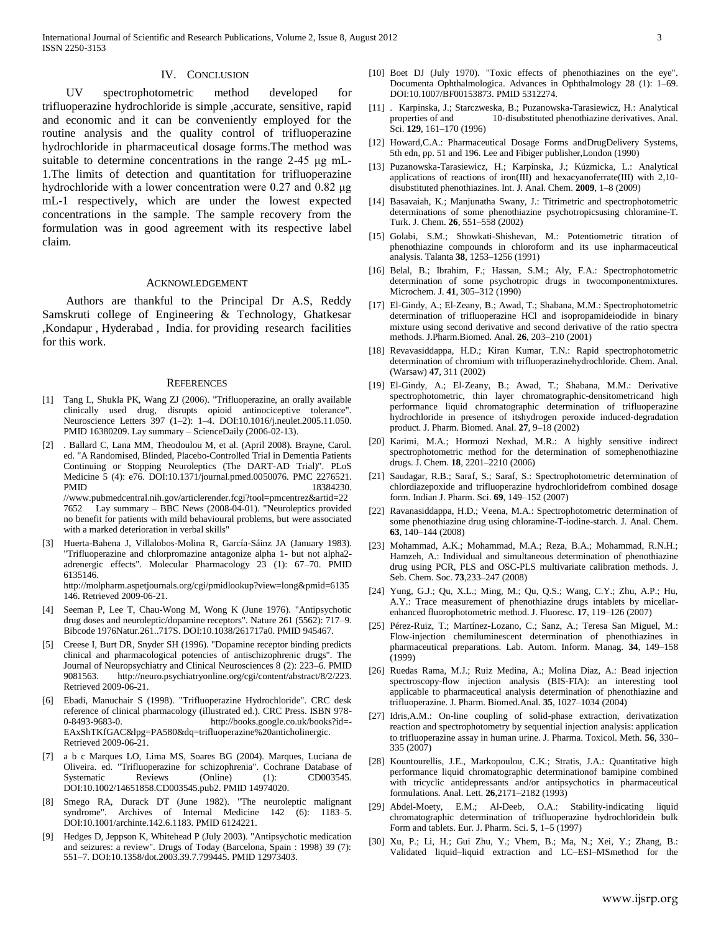### IV. CONCLUSION

 UV spectrophotometric method developed for trifluoperazine hydrochloride is simple ,accurate, sensitive, rapid and economic and it can be conveniently employed for the routine analysis and the quality control of trifluoperazine hydrochloride in pharmaceutical dosage forms.The method was suitable to determine concentrations in the range 2-45 μg mL-1.The limits of detection and quantitation for trifluoperazine hydrochloride with a lower concentration were 0.27 and 0.82 μg mL-1 respectively, which are under the lowest expected concentrations in the sample. The sample recovery from the formulation was in good agreement with its respective label claim.

#### ACKNOWLEDGEMENT

 Authors are thankful to the Principal Dr A.S, Reddy Samskruti college of Engineering & Technology, Ghatkesar ,Kondapur , Hyderabad , India. for providing research facilities for this work.

#### **REFERENCES**

- [1] Tang L, Shukla PK, Wang ZJ (2006). "Trifluoperazine, an orally available clinically used drug, disrupts opioid antinociceptive tolerance". Neuroscience Letters 397 (1–2): 1–4. DOI:10.1016/j.neulet.2005.11.050. PMID 16380209. Lay summary – ScienceDaily (2006-02-13).
- [2] . Ballard C, Lana MM, Theodoulou M, et al. (April 2008). Brayne, Carol. ed. "A Randomised, Blinded, Placebo-Controlled Trial in Dementia Patients Continuing or Stopping Neuroleptics (The DART-AD Trial)". PLoS Medicine 5 (4): e76. DOI:10.1371/journal.pmed.0050076. PMC 2276521. PMID 18384230. //www.pubmedcentral.nih.gov/articlerender.fcgi?tool=pmcentrez&artid=22 7652 Lay summary – BBC News (2008-04-01). "Neuroleptics provided no benefit for patients with mild behavioural problems, but were associated with a marked deterioration in verbal skills"
- [3] Huerta-Bahena J, Villalobos-Molina R, García-Sáinz JA (January 1983). "Trifluoperazine and chlorpromazine antagonize alpha 1- but not alpha2 adrenergic effects". Molecular Pharmacology 23 (1): 67–70. PMID 6135146. http://molpharm.aspetjournals.org/cgi/pmidlookup?view=long&pmid=6135

146. Retrieved 2009-06-21.

- [4] Seeman P, Lee T, Chau-Wong M, Wong K (June 1976). "Antipsychotic drug doses and neuroleptic/dopamine receptors". Nature 261 (5562): 717–9. Bibcode 1976Natur.261..717S. DOI:10.1038/261717a0. PMID 945467.
- [5] Creese I, Burt DR, Snyder SH (1996). "Dopamine receptor binding predicts clinical and pharmacological potencies of antischizophrenic drugs". The Journal of Neuropsychiatry and Clinical Neurosciences 8 (2): 223–6. PMID 9081563. http://neuro.psychiatryonline.org/cgi/content/abstract/8/2/223. Retrieved 2009-06-21.
- [6] Ebadi, Manuchair S (1998). "Trifluoperazine Hydrochloride". CRC desk reference of clinical pharmacology (illustrated ed.). CRC Press. ISBN 978- 0-8493-9683-0. http://books.google.co.uk/books?id=- EAxShTKfGAC&lpg=PA580&dq=trifluoperazine%20anticholinergic. Retrieved 2009-06-21.
- [7] a b c Marques LO, Lima MS, Soares BG (2004). Marques, Luciana de Oliveira. ed. "Trifluoperazine for schizophrenia". Cochrane Database of Systematic Reviews (Online) (1): CD003545. DOI:10.1002/14651858.CD003545.pub2. PMID 14974020.
- [8] Smego RA, Durack DT (June 1982). "The neuroleptic malignant syndrome". Archives of Internal Medicine 142 (6): 1183-5. DOI:10.1001/archinte.142.6.1183. PMID 6124221.
- [9] Hedges D, Jeppson K, Whitehead P (July 2003). "Antipsychotic medication and seizures: a review". Drugs of Today (Barcelona, Spain : 1998) 39 (7): 551–7. DOI:10.1358/dot.2003.39.7.799445. PMID 12973403.
- [10] Boet DJ (July 1970). "Toxic effects of phenothiazines on the eye". Documenta Ophthalmologica. Advances in Ophthalmology 28 (1): 1–69. DOI:10.1007/BF00153873. PMID 5312274.
- [11] . Karpinska, J.; Starczweska, B.; Puzanowska-Tarasiewicz, H.: Analytical properties of and 10-disubstituted phenothiazine derivatives. Anal. Sci. **129**, 161–170 (1996)
- [12] Howard,C.A.: Pharmaceutical Dosage Forms andDrugDelivery Systems, 5th edn, pp. 51 and 196. Lee and Fibiger publisher,London (1990)
- [13] Puzanowska-Tarasiewicz, H.; Karpínska, J.; Kúzmicka, L.: Analytical applications of reactions of iron(III) and hexacyanoferrate(III) with 2,10 disubstituted phenothiazines. Int. J. Anal. Chem. **2009**, 1–8 (2009)
- [14] Basavaiah, K.; Manjunatha Swany, J.: Titrimetric and spectrophotometric determinations of some phenothiazine psychotropicsusing chloramine-T. Turk. J. Chem. **26**, 551–558 (2002)
- [15] Golabi, S.M.; Showkati-Shishevan, M.: Potentiometric titration of phenothiazine compounds in chloroform and its use inpharmaceutical analysis. Talanta **38**, 1253–1256 (1991)
- [16] Belal, B.; Ibrahim, F.; Hassan, S.M.; Aly, F.A.: Spectrophotometric determination of some psychotropic drugs in twocomponentmixtures. Microchem. J. **41**, 305–312 (1990)
- [17] El-Gindy, A.; El-Zeany, B.; Awad, T.; Shabana, M.M.: Spectrophotometric determination of trifluoperazine HCl and isopropamideiodide in binary mixture using second derivative and second derivative of the ratio spectra methods. J.Pharm.Biomed. Anal. **26**, 203–210 (2001)
- [18] Revavasiddappa, H.D.; Kiran Kumar, T.N.: Rapid spectrophotometric determination of chromium with trifluoperazinehydrochloride. Chem. Anal. (Warsaw) **47**, 311 (2002)
- [19] El-Gindy, A.; El-Zeany, B.; Awad, T.; Shabana, M.M.: Derivative spectrophotometric, thin layer chromatographic-densitometricand high performance liquid chromatographic determination of trifluoperazine hydrochloride in presence of itshydrogen peroxide induced-degradation product. J. Pharm. Biomed. Anal. **27**, 9–18 (2002)
- [20] Karimi, M.A.; Hormozi Nexhad, M.R.: A highly sensitive indirect spectrophotometric method for the determination of somephenothiazine drugs. J. Chem. **18**, 2201–2210 (2006)
- [21] Saudagar, R.B.; Saraf, S.; Saraf, S.: Spectrophotometric determination of chlordiazepoxide and trifluoperazine hydrochloridefrom combined dosage form. Indian J. Pharm. Sci. **69**, 149–152 (2007)
- [22] Ravanasiddappa, H.D.; Veena, M.A.: Spectrophotometric determination of some phenothiazine drug using chloramine-T-iodine-starch. J. Anal. Chem. **63**, 140–144 (2008)
- [23] Mohammad, A.K.; Mohammad, M.A.; Reza, B.A.; Mohammad, R.N.H.; Hamzeh, A.: Individual and simultaneous determination of phenothiazine drug using PCR, PLS and OSC-PLS multivariate calibration methods. J. Seb. Chem. Soc. **73**,233–247 (2008)
- [24] Yung, G.J.; Qu, X.L.; Ming, M.; Qu, Q.S.; Wang, C.Y.; Zhu, A.P.; Hu, A.Y.: Trace measurement of phenothiazine drugs intablets by micellarenhanced fluorophotometric method. J. Fluoresc. **17**, 119–126 (2007)
- [25] Pérez-Ruiz, T.; Martínez-Lozano, C.; Sanz, A.; Teresa San Miguel, M.: Flow-injection chemiluminescent determination of phenothiazines in pharmaceutical preparations. Lab. Autom. Inform. Manag. **34**, 149–158 (1999)
- [26] Ruedas Rama, M.J.; Ruiz Medina, A.; Molina Diaz, A.: Bead injection spectroscopy-flow injection analysis (BIS-FIA): an interesting tool applicable to pharmaceutical analysis determination of phenothiazine and trifluoperazine. J. Pharm. Biomed.Anal. **35**, 1027–1034 (2004)
- [27] Idris,A.M.: On-line coupling of solid-phase extraction, derivatization reaction and spectrophotometry by sequential injection analysis: application to trifluoperazine assay in human urine. J. Pharma. Toxicol. Meth. **56**, 330– 335 (2007)
- [28] Kountourellis, J.E., Markopoulou, C.K.; Stratis, J.A.: Quantitative high performance liquid chromatographic determinationof bamipine combined with tricyclic antidepressants and/or antipsychotics in pharmaceutical formulations. Anal. Lett. **26**,2171–2182 (1993)
- [29] Abdel-Moety, E.M.; Al-Deeb, O.A.: Stability-indicating liquid chromatographic determination of trifluoperazine hydrochloridein bulk Form and tablets. Eur. J. Pharm. Sci. **5**, 1–5 (1997)
- [30] Xu, P.; Li, H.; Gui Zhu, Y.; Vhem, B.; Ma, N.; Xei, Y.; Zhang, B.: Validated liquid–liquid extraction and LC–ESI–MSmethod for the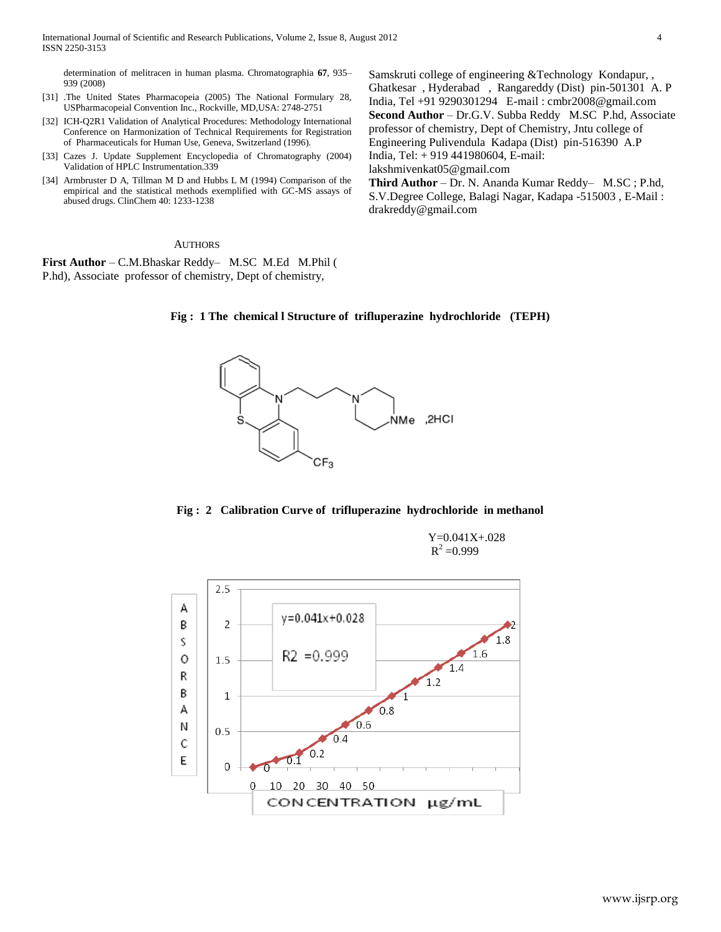determination of melitracen in human plasma. Chromatographia **67**, 935– 939 (2008)

- [31] .The United States Pharmacopeia (2005) The National Formulary 28, USPharmacopeial Convention Inc., Rockville, MD,USA: 2748-2751
- [32] ICH-Q2R1 Validation of Analytical Procedures: Methodology International Conference on Harmonization of Technical Requirements for Registration of Pharmaceuticals for Human Use, Geneva, Switzerland (1996).
- [33] Cazes J. Update Supplement Encyclopedia of Chromatography (2004) Validation of HPLC Instrumentation.339
- [34] Armbruster D A, Tillman M D and Hubbs L M (1994) Comparison of the empirical and the statistical methods exemplified with GC-MS assays of abused drugs. ClinChem 40: 1233-1238

Samskruti college of engineering &Technology Kondapur, , Ghatkesar , Hyderabad , Rangareddy (Dist) pin-501301 A. P India, Tel +91 9290301294 E-mail : cmbr2008@gmail.com **Second Author** – Dr.G.V. Subba Reddy M.SC P.hd, Associate professor of chemistry, Dept of Chemistry, Jntu college of Engineering Pulivendula Kadapa (Dist) pin-516390 A.P India, Tel: + 919 441980604, E-mail: lakshmivenkat05@gmail.com

**Third Author** – Dr. N. Ananda Kumar Reddy– M.SC ; P.hd, S.V.Degree College, Balagi Nagar, Kadapa -515003 , E-Mail : drakreddy@gmail.com

#### AUTHORS

**First Author** – C.M.Bhaskar Reddy– M.SC M.Ed M.Phil ( P.hd), Associate professor of chemistry, Dept of chemistry,





#### **Fig : 2 Calibration Curve of trifluperazine hydrochloride in methanol**